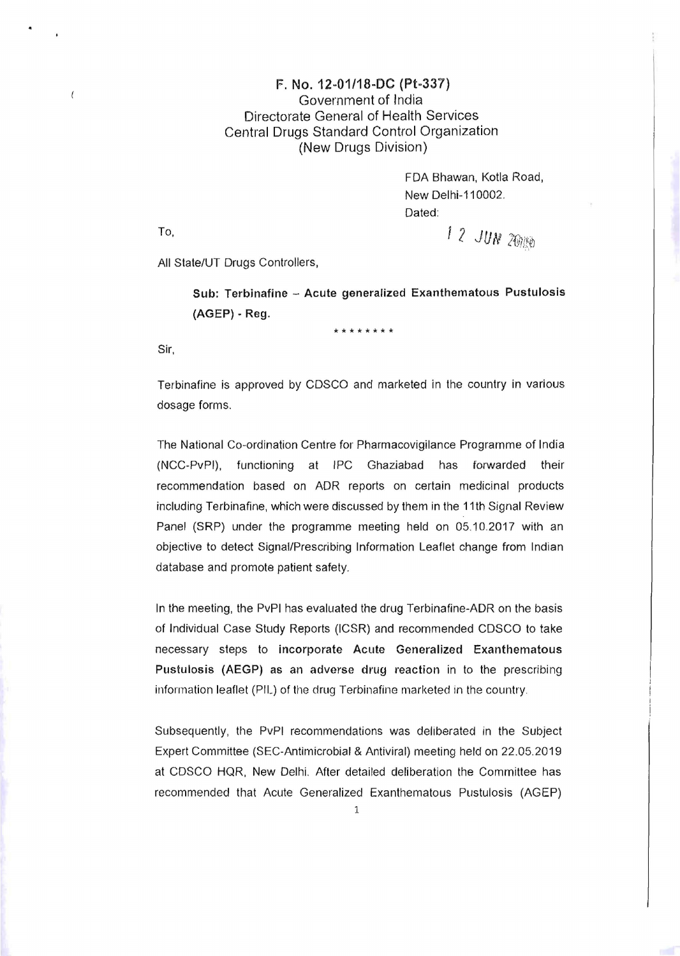## F. No. 12-01/18-DC (Pt-337) Government of India Directorate General of Health Services Central Drugs Standard Control Organization (New Drugs Division)

FDA Bhawan, Kotla Road, New Delhi-110002. Dated:

To,  $12$  *JUN 26*/180

All State/UT Drugs Controllers,

Sub: Terbinafine - Acute generalized Exanthematous Pustulosis (AGEP) • Reg.

**\* \* \* \* \* \* \* \*** 

Sir,

Terbinafine is approved by CDSCO and marketed in the country in various dosage forms.

The National Co-ordination Centre for Pharmacovigilance Programme of India (NCC-PvPI), functioning at IPC Ghaziabad has forwarded their recommendation based on ADR reports on certain medicinal products including Terbinafine, which were discussed by them in the 11th Signal Review Panel (SRP) under the programme meeting held on 05.10.2017 with an objective to detect Signal/Prescribing Information Leaflet change from Indian database and promote patient safety.

In the meeting, the PvPI has evaluated the drug Terbinafine-ADR on the basis of Individual Case Study Reports (ICSR) and recommended CDSCO to take necessary steps to incorporate Acute Generalized Exanthematous Pustulosis (AEGP) as an adverse drug reaction in to the prescribing information leaflet (PIL) of the drug Terbinafine marketed in the country.

Subsequently, the PvPI recommendations was deliberated in the Subject Expert Committee (SEC-Antimicrobial & Antiviral) meeting held on 22.05.2019 at COSCO HQR, New Delhi. After detailed deliberation the Committee has recommended that Acute Generalized Exanthematous Pustulosis (AGEP)